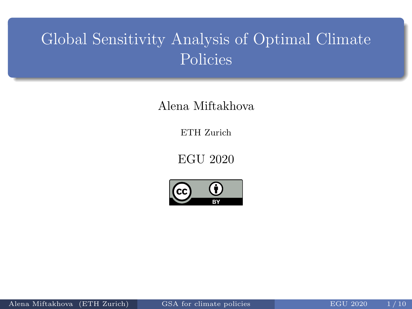# <span id="page-0-0"></span>Global Sensitivity Analysis of Optimal Climate Policies

Alena Miftakhova

ETH Zurich

EGU 2020



Alena Miftakhova (ETH Zurich) [GSA for climate policies](#page-9-0) EGU 2020 1/10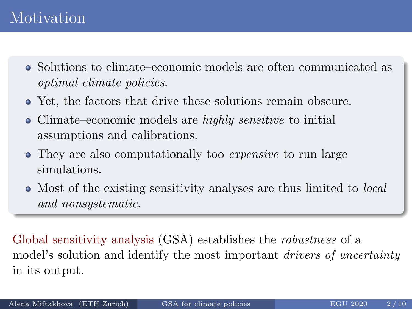- Solutions to climate–economic models are often communicated as optimal climate policies.
- Yet, the factors that drive these solutions remain obscure.
- Climate–economic models are *highly sensitive* to initial assumptions and calibrations.
- They are also computationally too *expensive* to run large simulations.
- Most of the existing sensitivity analyses are thus limited to local and nonsystematic.

Global sensitivity analysis (GSA) establishes the robustness of a model's solution and identify the most important *drivers of uncertainty* in its output.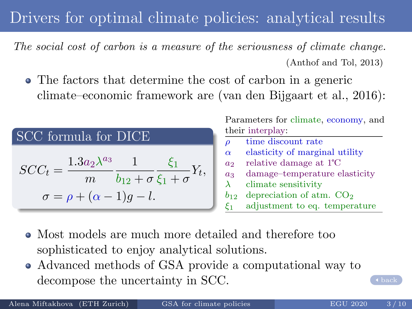## Drivers for optimal climate policies: analytical results

<span id="page-2-0"></span>The social cost of carbon is a measure of the seriousness of climate change. (Anthof and Tol, 2013)

The factors that determine the cost of carbon in a generic climate–economic framework are [\(van den Bijgaart et al., 2016\)](#page-10-0):

SCC formula for DICE  
\n
$$
SCC_{t} = \frac{1.3a_{2}\lambda^{a_{3}}}{m} \frac{1}{b_{12} + \sigma} \frac{\xi_{1}}{\xi_{1} + \sigma} Y_{t},
$$
\n
$$
\sigma = \rho + (\alpha - 1)g - l.
$$

Parameters for climate, economy, and their interplay:

- ρ time discount rate
- $\alpha$  elasticity of marginal utility
- $a_2$  relative damage at 1°C
- $a_3$  damage–temperature elasticity<br>  $\lambda$  climate sensitivity
	- λ climate sensitivity
- $b_{12}$  depreciation of atm.  $CO<sub>2</sub>$
- $\xi_1$  adjustment to eq. temperature
- Most models are much more detailed and therefore too sophisticated to enjoy analytical solutions.
- Advanced methods of GSA provide a computational way to  $decompose the uncertainty in SCC.$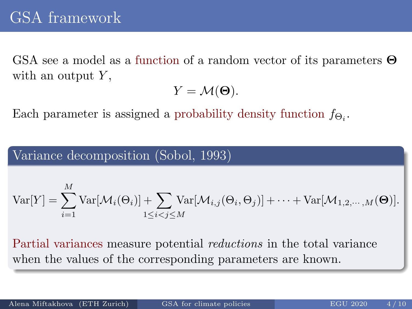GSA see a model as a function of a random vector of its parameters Θ with an output  $Y$ ,

$$
Y=\mathcal{M}(\mathbf{\Theta}).
$$

Each parameter is assigned a probability density function  $f_{\Theta_i}$ .

Variance decomposition [\(Sobol, 1993\)](#page-10-1)

$$
\text{Var}[Y] = \sum_{i=1}^{M} \text{Var}[\mathcal{M}_i(\Theta_i)] + \sum_{1 \leq i < j \leq M} \text{Var}[\mathcal{M}_{i,j}(\Theta_i, \Theta_j)] + \cdots + \text{Var}[\mathcal{M}_{1,2,\cdots,M}(\Theta)].
$$

Partial variances measure potential reductions in the total variance when the values of the corresponding parameters are known.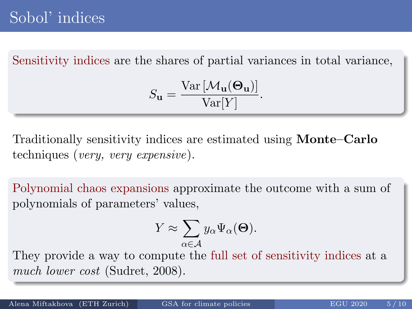Sensitivity indices are the shares of partial variances in total variance,

$$
S_{\mathbf{u}} = \frac{\text{Var}\left[\mathcal{M}_{\mathbf{u}}(\mathbf{\Theta}_{\mathbf{u}})\right]}{\text{Var}[Y]}.
$$

Traditionally sensitivity indices are estimated using Monte–Carlo techniques (very, very expensive).

Polynomial chaos expansions approximate the outcome with a sum of polynomials of parameters' values,

$$
Y \approx \sum_{\alpha \in \mathcal{A}} y_{\alpha} \Psi_{\alpha}(\mathbf{\Theta}).
$$

They provide a way to compute the full set of sensitivity indices at a much lower cost [\(Sudret, 2008\)](#page-10-2).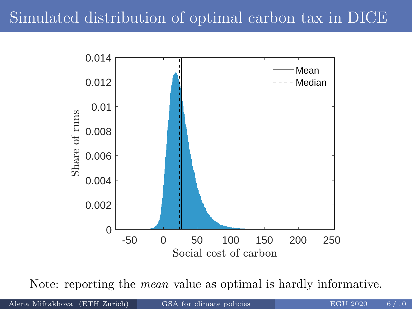### Simulated distribution of optimal carbon tax in DICE



Note: reporting the mean value as optimal is hardly informative.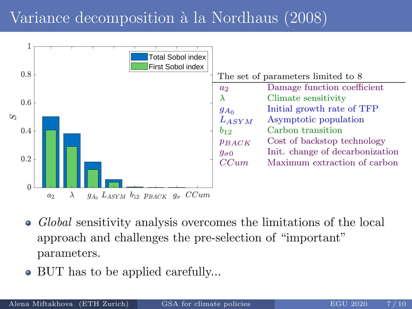# Variance decomposition à la [Nordhaus \(2008\)](#page-10-3)



- Global sensitivity analysis overcomes the limitations of the local approach and challenges the pre-selection of "important" parameters.
- BUT has to be applied carefully...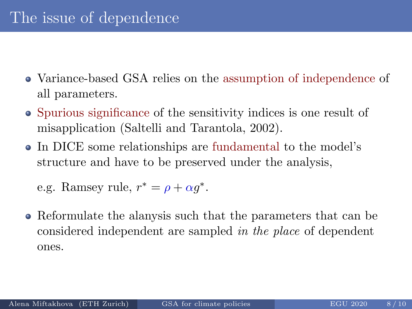- Variance-based GSA relies on the assumption of independence of all parameters.
- Spurious significance of the sensitivity indices is one result of misapplication [\(Saltelli and Tarantola, 2002\)](#page-10-4).
- In DICE some relationships are fundamental to the model's structure and have to be preserved under the analysis,

e.g. Ramsey rule,  $r^* = \rho + \alpha g^*$ .

• Reformulate the alanysis such that the parameters that can be considered independent are sampled in the place of dependent ones.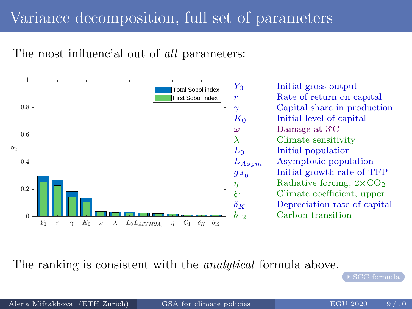#### Variance decomposition, full set of parameters

#### <span id="page-8-0"></span>The most influencial out of *all* parameters:



Y<sup>0</sup> Initial gross output r Rate of return on capital  $\gamma$  Capital share in production<br> $K_0$  Initial level of capital Initial level of capital Damage at 3°C Climate sensitivity  $L_{Asym}$  Initial population<br>L<sub>Asym</sub> Asymptotic popul LAsym Asymptotic population Initial growth rate of TFP  $\eta$  Radiative forcing,  $2 \times CO_2$ ξ<sup>1</sup> Climate coefficient, upper Depreciation rate of capital  $b_{12}$  Carbon transition

The ranking is consistent with the *analytical* formula above.

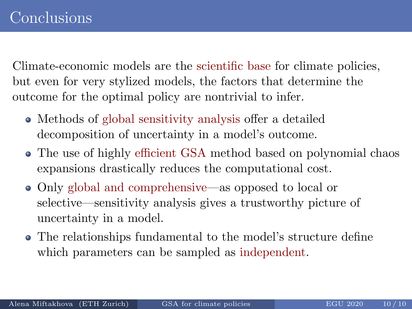<span id="page-9-0"></span>Climate-economic models are the scientific base for climate policies, but even for very stylized models, the factors that determine the outcome for the optimal policy are nontrivial to infer.

- Methods of global sensitivity analysis offer a detailed decomposition of uncertainty in a model's outcome.
- The use of highly efficient GSA method based on polynomial chaos expansions drastically reduces the computational cost.
- Only global and comprehensive—as opposed to local or selective—sensitivity analysis gives a trustworthy picture of uncertainty in a model.
- The relationships fundamental to the model's structure define which parameters can be sampled as independent.